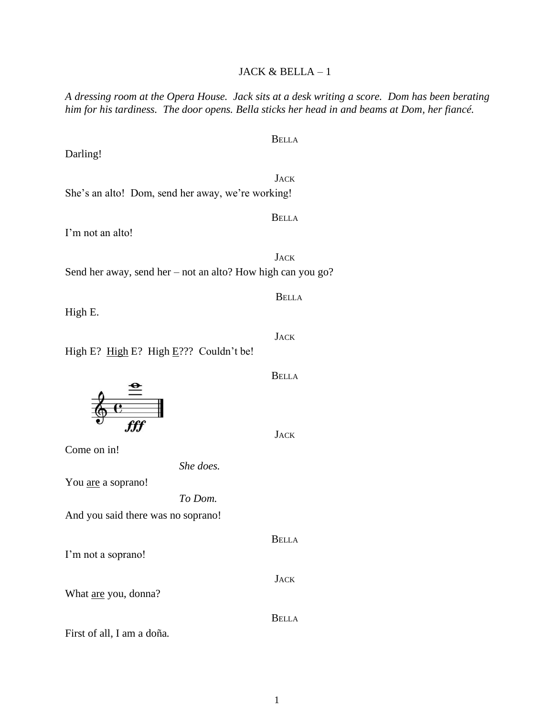**JACK** She's an alto! Dom, send her away, we're working!

I'm not an alto!

Darling!

Send her away, send her – not an alto? How high can you go?

High E.

High E? High E? High E??? Couldn't be!

Come on in!

*She does.*

*To Dom.*

You are a soprano!

And you said there was no soprano!

I'm not a soprano!

What are you, donna?

First of all, I am a doña.

**JACK** 

BELLA

**JACK** 

BELLA

**JACK** 

BELLA

## JACK & BELLA – 1

*A dressing room at the Opera House. Jack sits at a desk writing a score. Dom has been berating him for his tardiness. The door opens. Bella sticks her head in and beams at Dom, her fiancé.*

BELLA

BELLA

**JACK** 

BELLA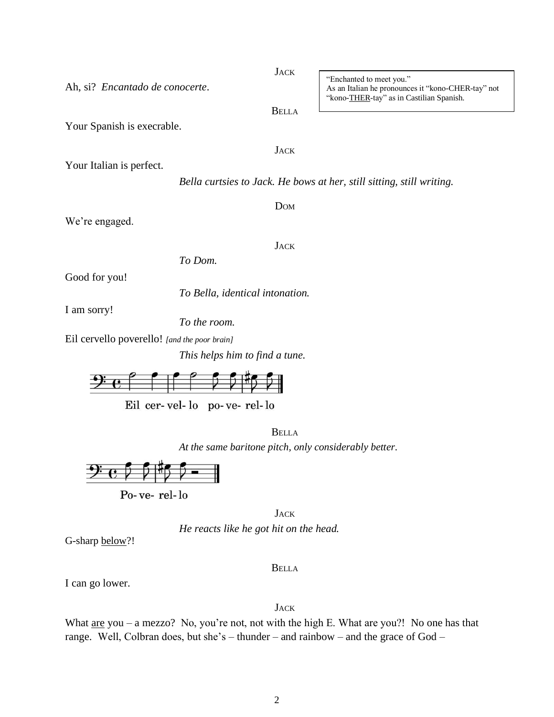I can go lower.

G-sharp below?!

*He reacts like he got hit on the head.*

 $Po$ -ve-rel- $lo$ 

*At the same baritone pitch, only considerably better.*

**JACK** 

BELLA

BELLA

*To the room.*

Ah, si? *Encantado de conocerte*.

Your Spanish is execrable.

Your Italian is perfect.

We're engaged.

Good for you!

Eil cervello poverello! *[and the poor brain]*

*To Bella, identical intonation.*

*To Dom.*

I am sorry!



This helps him to find a tr  
1: 
$$
\bullet
$$
  $\circ$   $\circ$   $\circ$   $\circ$   $\circ$   $\circ$   $\circ$   $\circ$   $\circ$   $\circ$   $\circ$   $\circ$   $\circ$   $\circ$   $\circ$   $\circ$   $\circ$   $\circ$   $\circ$   $\circ$   $\circ$   $\circ$   $\circ$   $\circ$   $\circ$   $\circ$   $\circ$   $\circ$   $\circ$   $\circ$   $\circ$   $\circ$   $\circ$   $\circ$   $\circ$   $\circ$   $\circ$   $\circ$   $\circ$   $\circ$   $\circ$   $\circ$   $\circ$   $\circ$   $\circ$   $\circ$   $\circ$   $\circ$   $\circ$   $\circ$   $\circ$   $\circ$   $\circ$   $\circ$   $\circ$   $\circ$   $\circ$   $\circ$   $\circ$   $\circ$   $\circ$   $\circ$   $\circ$   $\circ$   $\circ$   $\circ$   $\circ$   $\circ$   $\circ$   $\circ$   $\circ$   $\circ$   $\circ$   $\circ$   $\circ$   $\circ$   $\circ$   $\circ$   $\circ$   $\circ$   $\circ$   $\circ$   $\circ$   $\circ$   $\circ$   $\circ$   $\circ$   $\circ$   $\circ$   $\circ$   $\circ$   $\circ$   $\circ$   $\circ$   $\circ$   $\circ$   $\circ$   $\circ$   $\circ$   $\circ$   $\circ$   $\circ$   $\circ$   $\circ$   $\circ$   $\circ$   $\circ$ 

$$
Eil \ \hspace{.05cm}cer\text{-} vel\text{-} lo \quad po\text{-} ve\text{-} rel\text{-}lo
$$

"Enchanted to meet you." As an Italian he pronounces it "kono-CHER-tay" not "kono-THER-tay" as in Castilian Spanish.

**JACK** 

BELLA

DOM

*Bella curtsies to Jack. He bows at her, still sitting, still writing.*

**JACK** 

**JACK**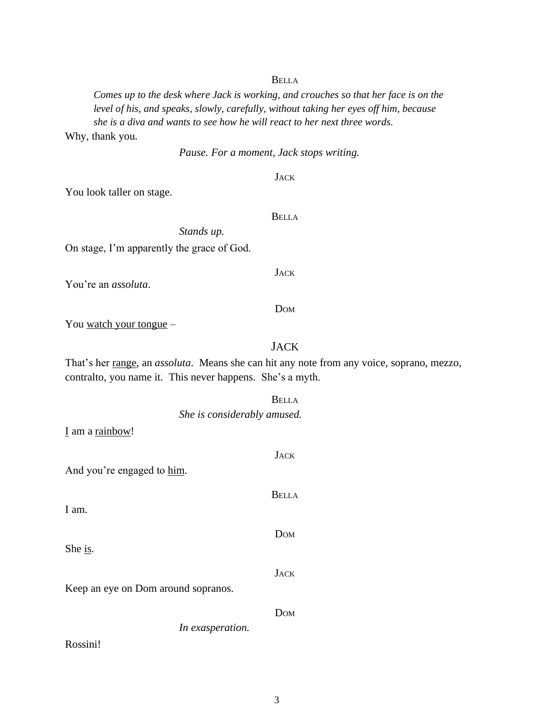## BELLA

*Comes up to the desk where Jack is working, and crouches so that her face is on the level of his, and speaks, slowly, carefully, without taking her eyes off him, because she is a diva and wants to see how he will react to her next three words.* Why, thank you.

*Pause. For a moment, Jack stops writing.*

**JACK** 

You look taller on stage.

BELLA

JACK

DOM

On stage, I'm apparently the grace of God.

You're an *assoluta*.

You watch your tongue –

## JACK

That's her range, an *assoluta*. Means she can hit any note from any voice, soprano, mezzo, contralto, you name it. This never happens. She's a myth.

|                                     | படபட                        |  |  |
|-------------------------------------|-----------------------------|--|--|
|                                     | She is considerably amused. |  |  |
| I am a rainbow!                     |                             |  |  |
|                                     | <b>JACK</b>                 |  |  |
| And you're engaged to him.          |                             |  |  |
|                                     | <b>BELLA</b>                |  |  |
| I am.                               |                             |  |  |
|                                     | DOM                         |  |  |
| She is.                             |                             |  |  |
|                                     | <b>JACK</b>                 |  |  |
| Keep an eye on Dom around sopranos. |                             |  |  |
|                                     | DOM                         |  |  |
|                                     | In exasperation.            |  |  |
| Rossini!                            |                             |  |  |

**BELLA** 

|  | ntly the grace of God |  |  |
|--|-----------------------|--|--|
|  |                       |  |  |
|  |                       |  |  |

*Stands up.*